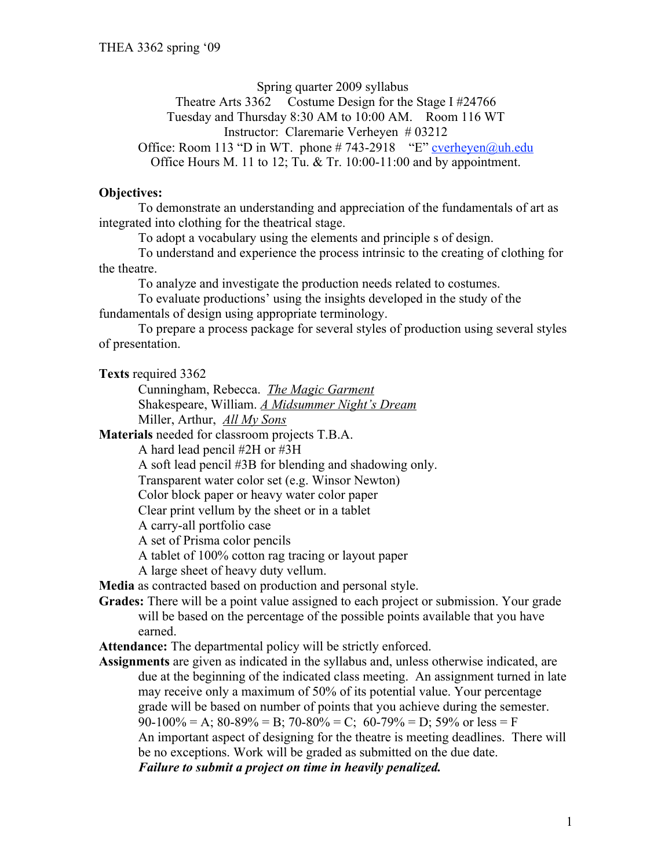Spring quarter 2009 syllabus Theatre Arts 3362 Costume Design for the Stage I #24766 Tuesday and Thursday 8:30 AM to 10:00 AM. Room 116 WT Instructor: Claremarie Verheyen # 03212 Office: Room 113 "D in WT. phone  $\# 743-2918$  "E" cverheyen@uh.edu Office Hours M. 11 to 12; Tu. & Tr. 10:00-11:00 and by appointment.

#### **Objectives:**

To demonstrate an understanding and appreciation of the fundamentals of art as integrated into clothing for the theatrical stage.

To adopt a vocabulary using the elements and principle s of design.

To understand and experience the process intrinsic to the creating of clothing for the theatre.

To analyze and investigate the production needs related to costumes.

To evaluate productions' using the insights developed in the study of the fundamentals of design using appropriate terminology.

To prepare a process package for several styles of production using several styles of presentation.

**Texts** required 3362

Cunningham, Rebecca. *The Magic Garment* Shakespeare, William. *A Midsummer Night's Dream* Miller, Arthur, *All My Sons*

**Materials** needed for classroom projects T.B.A.

A hard lead pencil #2H or #3H

A soft lead pencil #3B for blending and shadowing only.

Transparent water color set (e.g. Winsor Newton)

Color block paper or heavy water color paper

Clear print vellum by the sheet or in a tablet

A carry-all portfolio case

A set of Prisma color pencils

A tablet of 100% cotton rag tracing or layout paper

A large sheet of heavy duty vellum.

**Media** as contracted based on production and personal style.

**Grades:** There will be a point value assigned to each project or submission. Your grade will be based on the percentage of the possible points available that you have earned.

**Attendance:** The departmental policy will be strictly enforced.

**Assignments** are given as indicated in the syllabus and, unless otherwise indicated, are due at the beginning of the indicated class meeting. An assignment turned in late may receive only a maximum of 50% of its potential value. Your percentage grade will be based on number of points that you achieve during the semester.  $90-100\% = A$ ;  $80-89\% = B$ ;  $70-80\% = C$ ;  $60-79\% = D$ ;  $59\%$  or less = F An important aspect of designing for the theatre is meeting deadlines. There will be no exceptions. Work will be graded as submitted on the due date. *Failure to submit a project on time in heavily penalized.*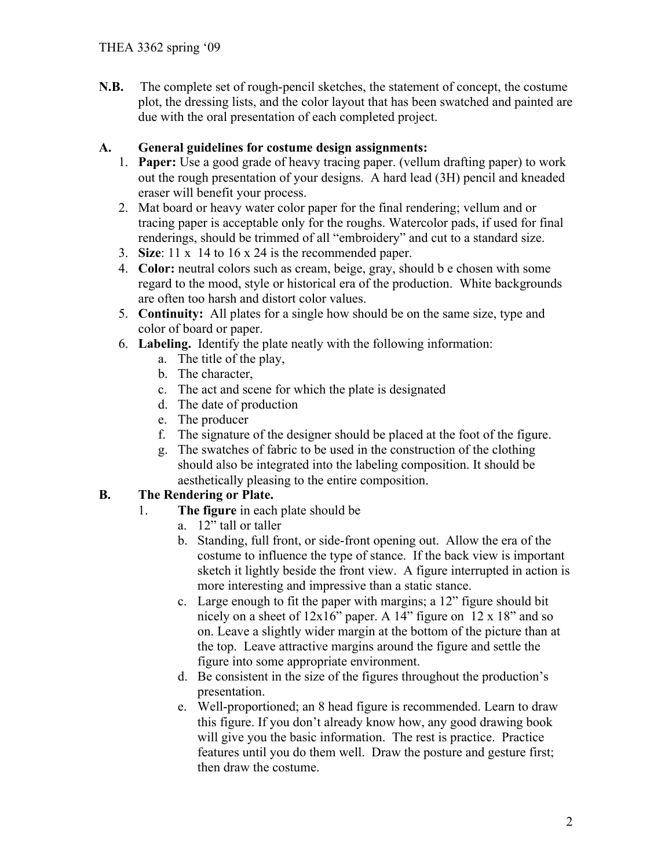**N.B.** The complete set of rough-pencil sketches, the statement of concept, the costume plot, the dressing lists, and the color layout that has been swatched and painted are due with the oral presentation of each completed project.

### **A. General guidelines for costume design assignments:**

- 1. **Paper:** Use a good grade of heavy tracing paper. (vellum drafting paper) to work out the rough presentation of your designs. A hard lead (3H) pencil and kneaded eraser will benefit your process.
- 2. Mat board or heavy water color paper for the final rendering; vellum and or tracing paper is acceptable only for the roughs. Watercolor pads, if used for final renderings, should be trimmed of all "embroidery" and cut to a standard size.
- 3. **Size**: 11 x 14 to 16 x 24 is the recommended paper.
- 4. **Color:** neutral colors such as cream, beige, gray, should b e chosen with some regard to the mood, style or historical era of the production. White backgrounds are often too harsh and distort color values.
- 5. **Continuity:** All plates for a single how should be on the same size, type and color of board or paper.
- 6. **Labeling.** Identify the plate neatly with the following information:
	- a. The title of the play,
	- b. The character,
	- c. The act and scene for which the plate is designated
	- d. The date of production
	- e. The producer
	- f. The signature of the designer should be placed at the foot of the figure.
	- g. The swatches of fabric to be used in the construction of the clothing should also be integrated into the labeling composition. It should be aesthetically pleasing to the entire composition.

## **B. The Rendering or Plate.**

- 1. **The figure** in each plate should be
	- a. 12" tall or taller
	- b. Standing, full front, or side-front opening out. Allow the era of the costume to influence the type of stance. If the back view is important sketch it lightly beside the front view. A figure interrupted in action is more interesting and impressive than a static stance.
	- c. Large enough to fit the paper with margins; a 12" figure should bit nicely on a sheet of 12x16" paper. A 14" figure on 12 x 18" and so on. Leave a slightly wider margin at the bottom of the picture than at the top. Leave attractive margins around the figure and settle the figure into some appropriate environment.
	- d. Be consistent in the size of the figures throughout the production's presentation.
	- e. Well-proportioned; an 8 head figure is recommended. Learn to draw this figure. If you don't already know how, any good drawing book will give you the basic information. The rest is practice. Practice features until you do them well. Draw the posture and gesture first; then draw the costume.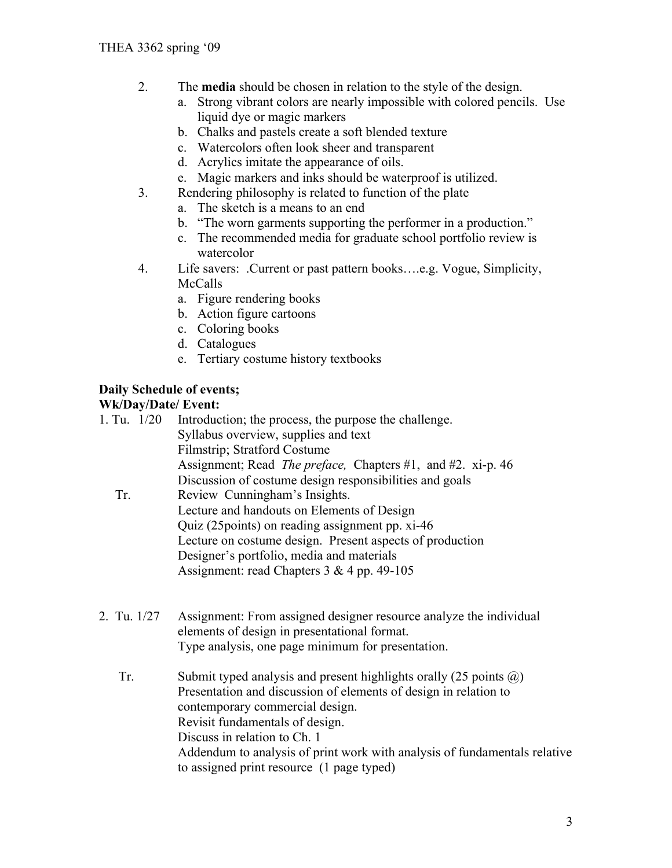- 2. The **media** should be chosen in relation to the style of the design.
	- a. Strong vibrant colors are nearly impossible with colored pencils. Use liquid dye or magic markers
	- b. Chalks and pastels create a soft blended texture
	- c. Watercolors often look sheer and transparent
	- d. Acrylics imitate the appearance of oils.
	- e. Magic markers and inks should be waterproof is utilized.
- 3. Rendering philosophy is related to function of the plate
	- a. The sketch is a means to an end
	- b. "The worn garments supporting the performer in a production."
	- c. The recommended media for graduate school portfolio review is watercolor
- 4. Life savers: .Current or past pattern books….e.g. Vogue, Simplicity, McCalls
	- a. Figure rendering books
	- b. Action figure cartoons
	- c. Coloring books
	- d. Catalogues
	- e. Tertiary costume history textbooks

## **Daily Schedule of events;**

#### **Wk/Day/Date/ Event:**

| 1. Tu. $1/20$ | Introduction; the process, the purpose the challenge.               |
|---------------|---------------------------------------------------------------------|
|               | Syllabus overview, supplies and text                                |
|               | <b>Filmstrip</b> ; Stratford Costume                                |
|               | Assignment; Read <i>The preface</i> , Chapters #1, and #2. xi-p. 46 |
|               | Discussion of costume design responsibilities and goals             |
| Tr.           | Review Cunningham's Insights.                                       |
|               | Lecture and handouts on Elements of Design                          |
|               | Quiz (25 points) on reading assignment pp. xi-46                    |
|               | Lecture on costume design. Present aspects of production            |
|               | Designer's portfolio, media and materials                           |
|               | Assignment: read Chapters $3 \& 4$ pp. 49-105                       |
|               |                                                                     |
|               |                                                                     |
| 2. Tu. 1/27   | Assignment: From assigned designer resource analyze the individual  |

- elements of design in presentational format. Type analysis, one page minimum for presentation.
	- Tr. Submit typed analysis and present highlights orally  $(25 \text{ points } \textcircled{a})$ Presentation and discussion of elements of design in relation to contemporary commercial design. Revisit fundamentals of design. Discuss in relation to Ch. 1 Addendum to analysis of print work with analysis of fundamentals relative to assigned print resource (1 page typed)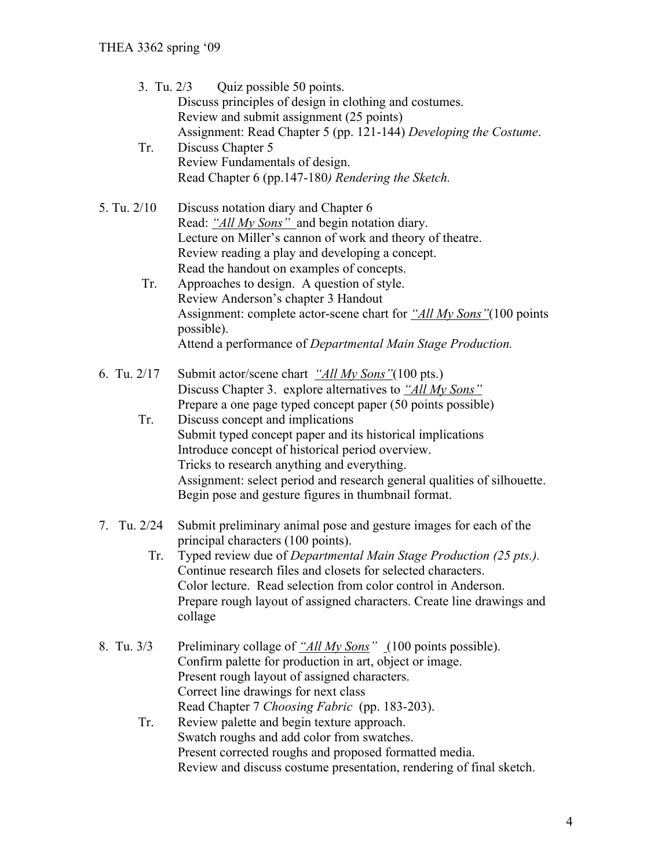| 3. Tu. $2/3$<br>Tr. | Quiz possible 50 points.<br>Discuss principles of design in clothing and costumes.<br>Review and submit assignment (25 points)<br>Assignment: Read Chapter 5 (pp. 121-144) Developing the Costume.<br>Discuss Chapter 5<br>Review Fundamentals of design.<br>Read Chapter 6 (pp.147-180) Rendering the Sketch.                                                                                    |
|---------------------|---------------------------------------------------------------------------------------------------------------------------------------------------------------------------------------------------------------------------------------------------------------------------------------------------------------------------------------------------------------------------------------------------|
| 5. Tu. 2/10         | Discuss notation diary and Chapter 6<br>Read: "All My Sons" and begin notation diary.<br>Lecture on Miller's cannon of work and theory of theatre.<br>Review reading a play and developing a concept.<br>Read the handout on examples of concepts.                                                                                                                                                |
| Tr.                 | Approaches to design. A question of style.<br>Review Anderson's chapter 3 Handout<br>Assignment: complete actor-scene chart for "All My Sons" (100 points<br>possible).<br>Attend a performance of Departmental Main Stage Production.                                                                                                                                                            |
| 6. Tu. $2/17$       | Submit actor/scene chart "All My Sons"(100 pts.)<br>Discuss Chapter 3. explore alternatives to "All My Sons"<br>Prepare a one page typed concept paper (50 points possible)                                                                                                                                                                                                                       |
| Tr.                 | Discuss concept and implications<br>Submit typed concept paper and its historical implications<br>Introduce concept of historical period overview.<br>Tricks to research anything and everything.<br>Assignment: select period and research general qualities of silhouette.<br>Begin pose and gesture figures in thumbnail format.                                                               |
| 7. Tu. 2/24<br>Tr.  | Submit preliminary animal pose and gesture images for each of the<br>principal characters (100 points).<br>Typed review due of Departmental Main Stage Production (25 pts.).<br>Continue research files and closets for selected characters.<br>Color lecture. Read selection from color control in Anderson.<br>Prepare rough layout of assigned characters. Create line drawings and<br>collage |
| 8. Tu. 3/3          | Preliminary collage of "All My Sons" (100 points possible).<br>Confirm palette for production in art, object or image.<br>Present rough layout of assigned characters.<br>Correct line drawings for next class                                                                                                                                                                                    |
| Tr.                 | Read Chapter 7 Choosing Fabric (pp. 183-203).<br>Review palette and begin texture approach.<br>Swatch roughs and add color from swatches.<br>Present corrected roughs and proposed formatted media.<br>Review and discuss costume presentation, rendering of final sketch.                                                                                                                        |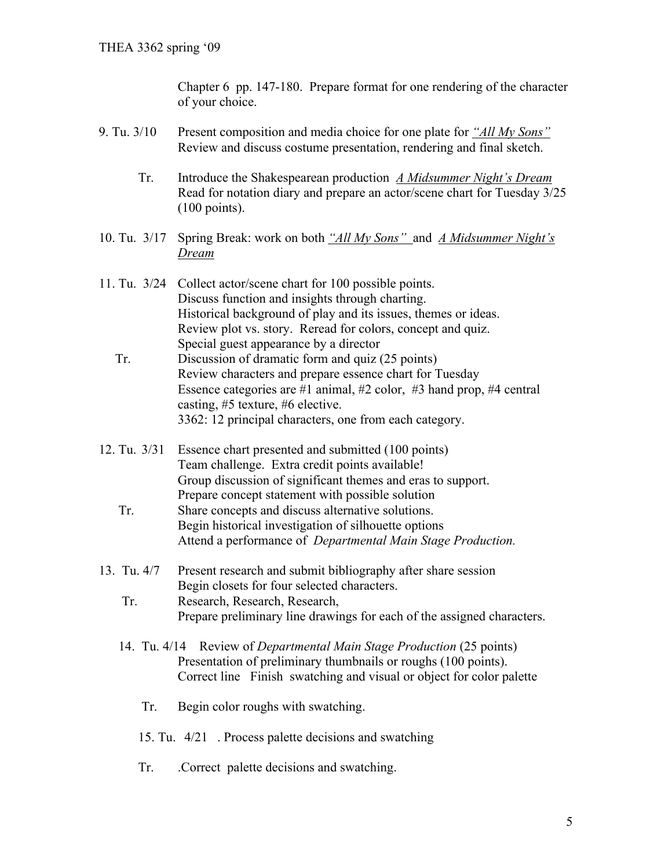Chapter 6 pp. 147-180. Prepare format for one rendering of the character of your choice.

- 9. Tu. 3/10 Present composition and media choice for one plate for *"All My Sons"*  Review and discuss costume presentation, rendering and final sketch.
	- Tr. Introduce the Shakespearean production *A Midsummer Night's Dream* Read for notation diary and prepare an actor/scene chart for Tuesday 3/25 (100 points).
- 10. Tu. 3/17 Spring Break: work on both *"All My Sons"* and *A Midsummer Night's Dream*
- 11. Tu. 3/24 Collect actor/scene chart for 100 possible points. Discuss function and insights through charting. Historical background of play and its issues, themes or ideas. Review plot vs. story. Reread for colors, concept and quiz. Special guest appearance by a director
	- Tr. Discussion of dramatic form and quiz (25 points) Review characters and prepare essence chart for Tuesday Essence categories are #1 animal, #2 color, #3 hand prop, #4 central casting, #5 texture, #6 elective. 3362: 12 principal characters, one from each category.
- 12. Tu. 3/31 Essence chart presented and submitted (100 points) Team challenge. Extra credit points available! Group discussion of significant themes and eras to support. Prepare concept statement with possible solution
	- Tr. Share concepts and discuss alternative solutions. Begin historical investigation of silhouette options Attend a performance of *Departmental Main Stage Production.*
- 13. Tu. 4/7 Present research and submit bibliography after share session Begin closets for four selected characters.
	- Tr. Research, Research, Research, Prepare preliminary line drawings for each of the assigned characters.
	- 14. Tu. 4/14 Review of *Departmental Main Stage Production* (25 points) Presentation of preliminary thumbnails or roughs (100 points). Correct line Finish swatching and visual or object for color palette
		- Tr. Begin color roughs with swatching.
		- 15. Tu. 4/21 . Process palette decisions and swatching
		- Tr. .Correct palette decisions and swatching.